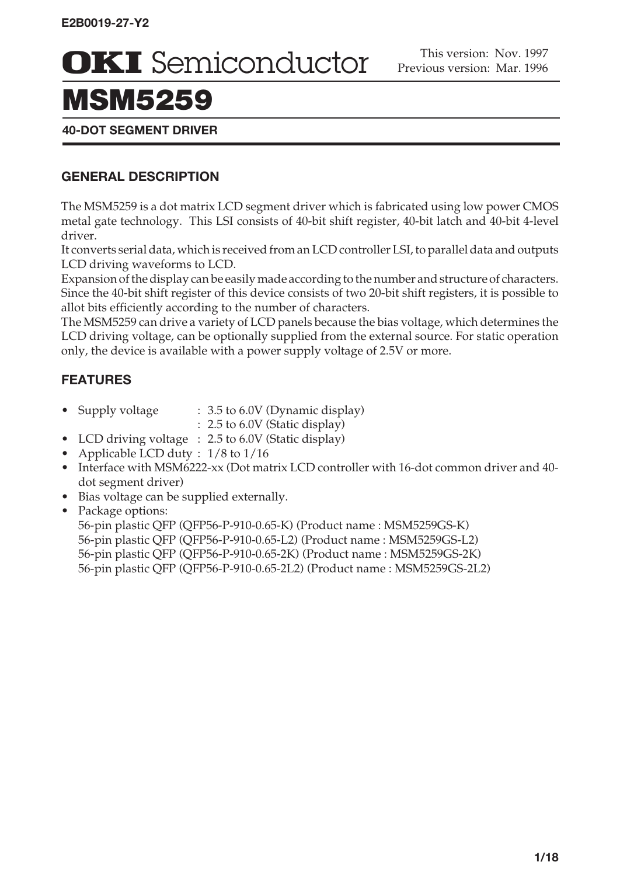## MSM5259

#### **40-DOT SEGMENT DRIVER**

#### **GENERAL DESCRIPTION**

The MSM5259 is a dot matrix LCD segment driver which is fabricated using low power CMOS metal gate technology. This LSI consists of 40-bit shift register, 40-bit latch and 40-bit 4-level driver.

It converts serial data, which is received from an LCD controller LSI, to parallel data and outputs LCD driving waveforms to LCD.

Expansion of the display can be easily made according to the number and structure of characters. Since the 40-bit shift register of this device consists of two 20-bit shift registers, it is possible to allot bits efficiently according to the number of characters.

The MSM5259 can drive a variety of LCD panels because the bias voltage, which determines the LCD driving voltage, can be optionally supplied from the external source. For static operation only, the device is available with a power supply voltage of 2.5V or more.

### **FEATURES**

- Supply voltage : 3.5 to 6.0V (Dynamic display)
	- : 2.5 to 6.0V (Static display)
- LCD driving voltage : 2.5 to 6.0V (Static display)
- Applicable LCD duty :  $1/8$  to  $1/16$
- Interface with MSM6222-xx (Dot matrix LCD controller with 16-dot common driver and 40 dot segment driver)
- Bias voltage can be supplied externally.
- Package options:

56-pin plastic QFP (QFP56-P-910-0.65-K) (Product name : MSM5259GS-K) 56-pin plastic QFP (QFP56-P-910-0.65-L2) (Product name : MSM5259GS-L2) 56-pin plastic QFP (QFP56-P-910-0.65-2K) (Product name : MSM5259GS-2K) 56-pin plastic QFP (QFP56-P-910-0.65-2L2) (Product name : MSM5259GS-2L2)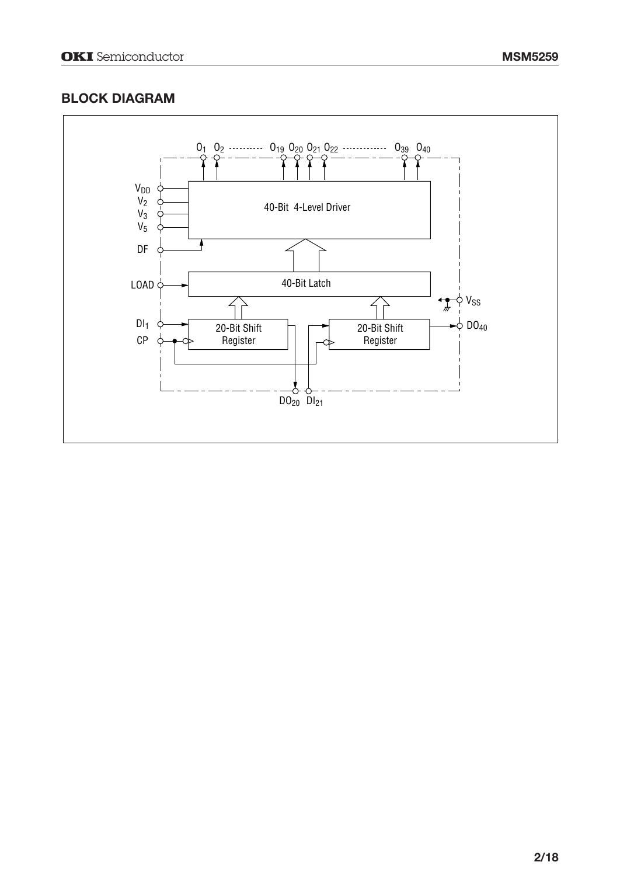#### **BLOCK DIAGRAM**

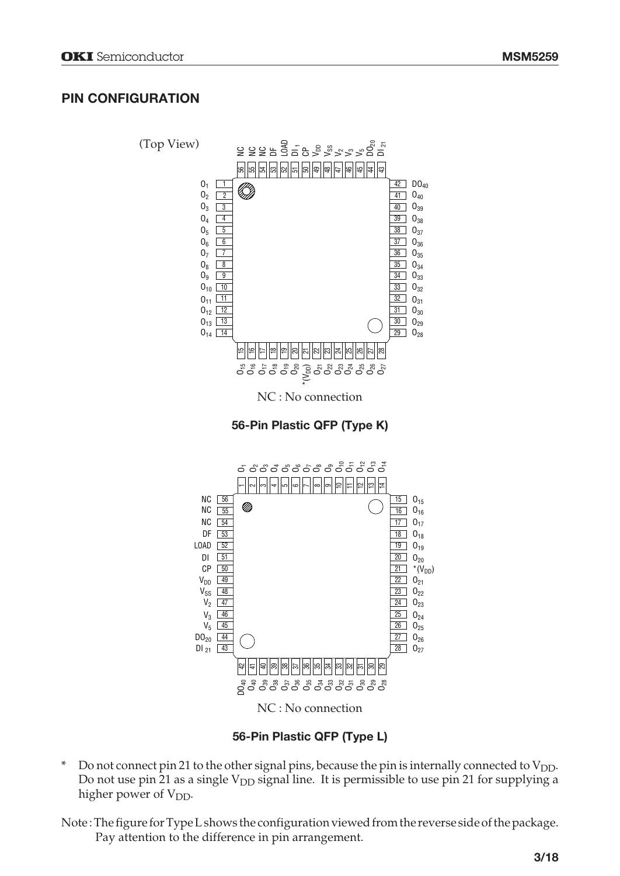#### **PIN CONFIGURATION**



**56-Pin Plastic QFP (Type L)**

- $*$  Do not connect pin 21 to the other signal pins, because the pin is internally connected to  $V_{DD}$ . Do not use pin 21 as a single  $V_{DD}$  signal line. It is permissible to use pin 21 for supplying a higher power of V<sub>DD</sub>.
- Note : The figure for Type L shows the configuration viewed from the reverse side of the package. Pay attention to the difference in pin arrangement.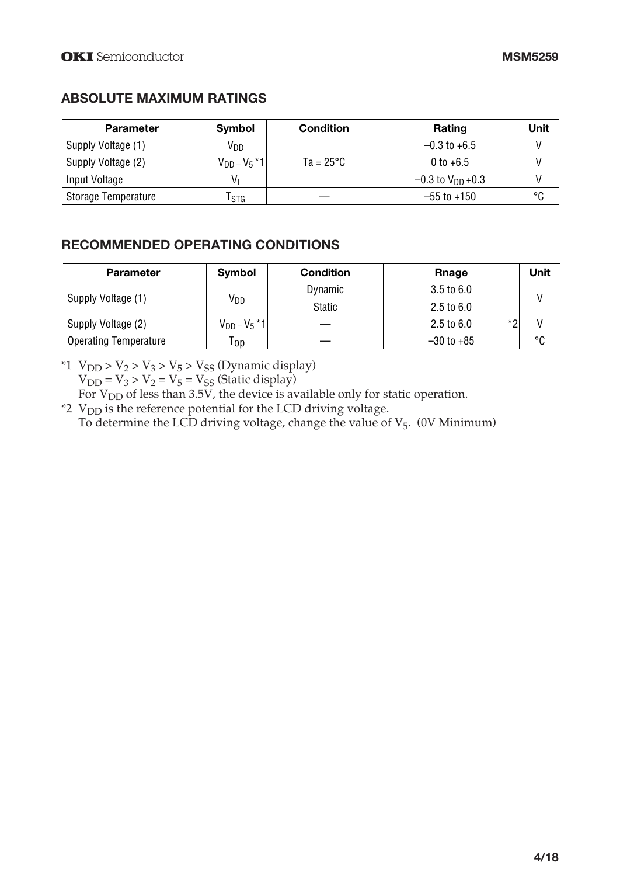#### **ABSOLUTE MAXIMUM RATINGS**

| <b>Parameter</b>    | Symbol             | <b>Condition</b>   | Rating                         | Unit |
|---------------------|--------------------|--------------------|--------------------------------|------|
| Supply Voltage (1)  | Vpp                |                    | $-0.3$ to $+6.5$               |      |
| Supply Voltage (2)  | $V_{DD} - V_5 * 1$ | $Ta = 25^{\circ}C$ | 0 to $+6.5$                    |      |
| Input Voltage       | V,                 |                    | $-0.3$ to V <sub>DD</sub> +0.3 |      |
| Storage Temperature | l stg              |                    | $-55$ to $+150$                | °C   |

#### **RECOMMENDED OPERATING CONDITIONS**

| <b>Parameter</b>             | Symbol             | <b>Condition</b> | Rnage                       | Unit |  |
|------------------------------|--------------------|------------------|-----------------------------|------|--|
| Supply Voltage (1)           | V <sub>DD</sub>    | Dynamic          | $3.5 \text{ to } 6.0$       |      |  |
|                              |                    | Static           | $2.5 \text{ to } 6.0$       |      |  |
| Supply Voltage (2)           | $V_{DD} - V_5 * 1$ |                  | *2<br>$2.5 \text{ to } 6.0$ |      |  |
| <b>Operating Temperature</b> | Top                |                  | $-30$ to $+85$              | °C   |  |

\*1  $V_{DD}$  >  $V_2$  >  $V_3$  >  $V_5$  >  $V_{SS}$  (Dynamic display)

 $V_{DD} = V_3 > V_2 = V_5 = V_{SS}$  (Static display)

For  $V<sub>DD</sub>$  of less than 3.5V, the device is available only for static operation.

\*2 VDD is the reference potential for the LCD driving voltage. To determine the LCD driving voltage, change the value of  $V_5$ . (0V Minimum)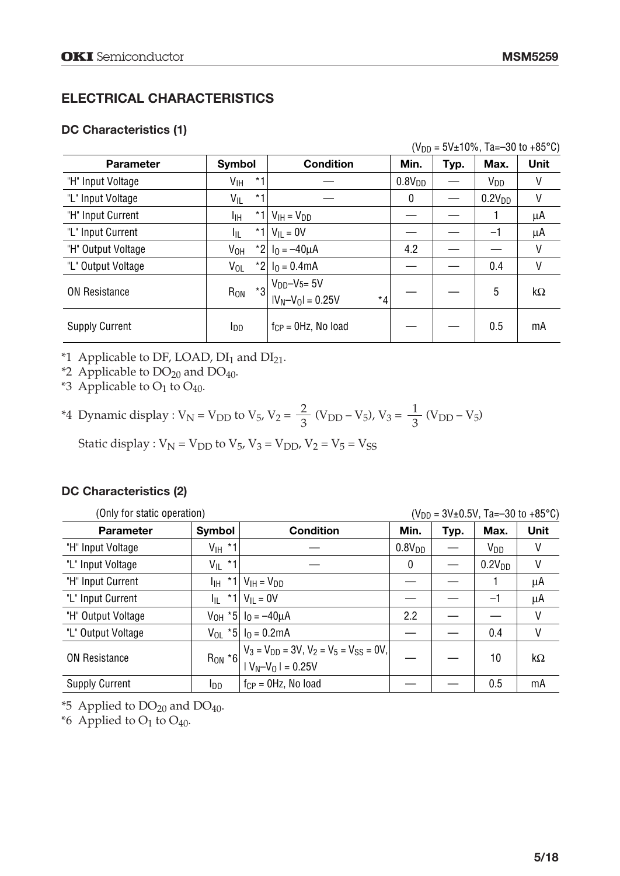#### **ELECTRICAL CHARACTERISTICS**

#### **DC Characteristics (1)**

|  | $(V_{DD} = 5V \pm 10\%$ , Ta=-30 to +85°C) |  |
|--|--------------------------------------------|--|
|--|--------------------------------------------|--|

| <b>Parameter</b>      | Symbol                  | <b>Condition</b>                 | Min.               | Typ. | Max.               | <b>Unit</b> |
|-----------------------|-------------------------|----------------------------------|--------------------|------|--------------------|-------------|
| "H" Input Voltage     | *1<br>V <sub>IH</sub>   |                                  | 0.8V <sub>DD</sub> |      | V <sub>DD</sub>    | ۷           |
| "L" Input Voltage     | $*1$<br>V <sub>IL</sub> |                                  | 0                  |      | 0.2V <sub>DD</sub> | ۷           |
| "H" Input Current     | *1 <br>Iін              | $V_{IH} = V_{DD}$                |                    |      |                    | μA          |
| "L" Input Current     | $*1$<br>Iμ              | $V_{II} = 0V$                    |                    |      | $-1$               | μA          |
| "H" Output Voltage    | V <sub>OH</sub>         | *2 $I_0 = -40 \mu A$             | 4.2                |      |                    | V           |
| "L" Output Voltage    | $V_{OL}$                | *2 $I_0 = 0.4$ mA                |                    |      | 0.4                | V           |
|                       | *3                      | $V_{DD}-V_{5}=5V$                |                    |      |                    |             |
| <b>ON Resistance</b>  | R <sub>ON</sub>         | $*_{4}$<br>$ V_N - V_0  = 0.25V$ |                    |      | 5                  | $k\Omega$   |
| <b>Supply Current</b> | IDD.                    | $f_{CP} = 0Hz$ , No load         |                    |      | 0.5                | mA          |

\*1 Applicable to DF, LOAD,  $DI<sub>1</sub>$  and  $DI<sub>21</sub>$ .

\*2 Applicable to  $DO<sub>20</sub>$  and  $DO<sub>40</sub>$ .

\*3 Applicable to  $O_1$  to  $O_{40}$ .

\*4 Dynamic display : 
$$
V_N = V_{DD}
$$
 to  $V_5$ ,  $V_2 = \frac{2}{3}$  ( $V_{DD} - V_5$ ),  $V_3 = \frac{1}{3}$  ( $V_{DD} - V_5$ )

Static display :  $V_N = V_{DD}$  to  $V_5$ ,  $V_3 = V_{DD}$ ,  $V_2 = V_5 = V_{SS}$ 

#### **DC Characteristics (2)**

| (Only for static operation) |                    |                                                                                                    | $(V_{DD} = 3V \pm 0.5V, Ta = -30$ to +85°C) |      |                    |      |
|-----------------------------|--------------------|----------------------------------------------------------------------------------------------------|---------------------------------------------|------|--------------------|------|
| <b>Parameter</b>            | Symbol             | <b>Condition</b>                                                                                   | Min.                                        | Typ. | Max.               | Unit |
| "H" Input Voltage           | $V_{\text{IH}}$ *1 |                                                                                                    | 0.8V <sub>DD</sub>                          |      | V <sub>DD</sub>    | V    |
| "L" Input Voltage           | $V_{IL}$ *1        |                                                                                                    | 0                                           |      | 0.2V <sub>DD</sub> | V    |
| "H" Input Current           | Iін.               | *1 $V_{\text{IH}} = V_{\text{DD}}$                                                                 |                                             |      |                    | μA   |
| "L" Input Current           | $*1$<br>lji -      | $V_{II} = 0V$                                                                                      |                                             |      | $-1$               | μA   |
| "H" Output Voltage          |                    | $V_{OH}$ *5   $I_0 = -40 \mu A$                                                                    | 2.2                                         |      |                    | V    |
| "L" Output Voltage          |                    | $V_{OL}$ *5   $I_0 = 0.2$ mA                                                                       |                                             |      | 0.4                | V    |
| ON Resistance               | $Row * 6$          | $\left  V_3 = V_{DD} = 3V, V_2 = V_5 = V_{SS} = 0V, \right $<br>$\left  V_N - V_0 \right  = 0.25V$ |                                             |      | 10                 | kΩ   |
| <b>Supply Current</b>       | l <sub>DD</sub>    | $f_{CP} = 0Hz$ , No load                                                                           |                                             |      | 0.5                | mA   |

\*5 Applied to  $DO<sub>20</sub>$  and  $DO<sub>40</sub>$ .

\*6 Applied to  $O_1$  to  $O_{40}$ .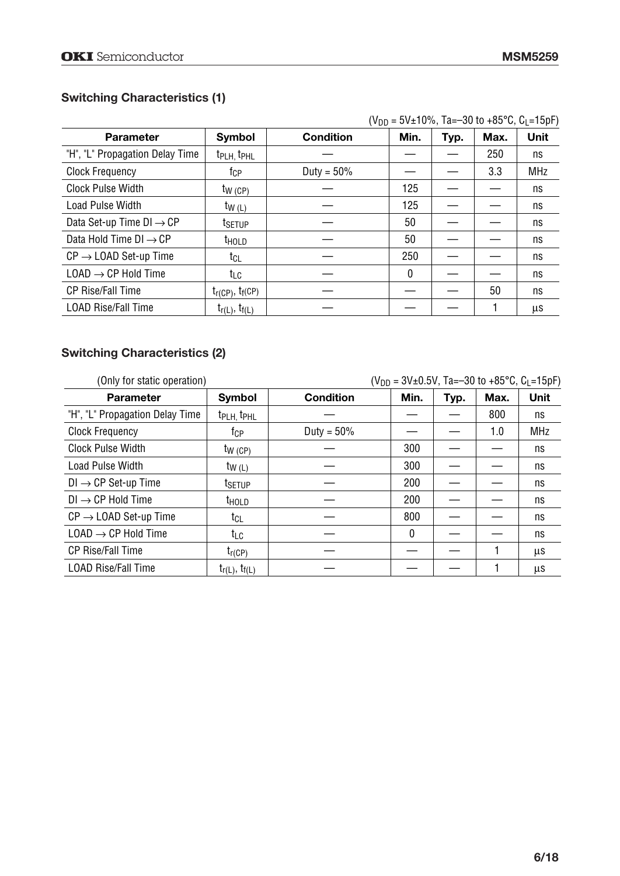#### **Switching Characteristics (1)**

|                                      |                                    |               |      |      |      | (VDD = 3V±TU%, Td=−3U tO +63 ັບ, ບ∣=T3µF) |
|--------------------------------------|------------------------------------|---------------|------|------|------|-------------------------------------------|
| <b>Parameter</b>                     | <b>Symbol</b>                      | Condition     | Min. | Typ. | Max. | Unit                                      |
| "H", "L" Propagation Delay Time      | t <sub>PLH,</sub> t <sub>PHL</sub> |               |      |      | 250  | ns                                        |
| <b>Clock Frequency</b>               | tcp.                               | Duty = $50\%$ |      |      | 3.3  | <b>MHz</b>                                |
| <b>Clock Pulse Width</b>             | $tw$ (CP)                          |               | 125  |      |      | ns                                        |
| Load Pulse Width                     | $tw_{(L)}$                         |               | 125  |      |      | ns                                        |
| Data Set-up Time $DI \rightarrow CP$ | t <sub>SETUP</sub>                 |               | 50   |      |      | ns                                        |
| Data Hold Time $DI \rightarrow CP$   | t <sub>hold</sub>                  |               | 50   |      |      | ns                                        |
| $CP \rightarrow$ LOAD Set-up Time    | t <sub>CL</sub>                    |               | 250  |      |      | ns                                        |
| $LOAD \rightarrow CP$ Hold Time      | t∟c                                |               | 0    |      |      | ns                                        |
| <b>CP Rise/Fall Time</b>             | $t_{r(CP)}$ , $t_{f(CP)}$          |               |      |      | 50   | ns                                        |
| <b>LOAD Rise/Fall Time</b>           | $t_{r(L)}$ , $t_{f(L)}$            |               |      |      |      | μs                                        |

#### **Switching Characteristics (2)**

| (Only for static operation)       |                                   |                  | $(V_{DD} = 3V \pm 0.5V$ , Ta=-30 to +85°C, C <sub>L</sub> =15pF) |      |      |            |
|-----------------------------------|-----------------------------------|------------------|------------------------------------------------------------------|------|------|------------|
| <b>Parameter</b>                  | <b>Symbol</b>                     | <b>Condition</b> | Min.                                                             | Typ. | Max. | Unit       |
| "H", "L" Propagation Delay Time   | t <sub>PLH</sub> t <sub>PHL</sub> |                  |                                                                  |      | 800  | ns         |
| <b>Clock Frequency</b>            | tcp                               | Duty = $50\%$    |                                                                  |      | 1.0  | <b>MHz</b> |
| <b>Clock Pulse Width</b>          | $tw$ (CP)                         |                  | 300                                                              |      |      | ns         |
| <b>Load Pulse Width</b>           | $tw_{(L)}$                        |                  | 300                                                              |      |      | ns         |
| $DI \rightarrow CP$ Set-up Time   | t <sub>SETUP</sub>                |                  | 200                                                              |      |      | ns         |
| $DI \rightarrow CP$ Hold Time     | <b>THOLD</b>                      |                  | 200                                                              |      |      | ns         |
| $CP \rightarrow$ LOAD Set-up Time | t <sub>CL</sub>                   |                  | 800                                                              |      |      | ns         |
| $LOAD \rightarrow CP$ Hold Time   | t <sub>LC</sub>                   |                  | 0                                                                |      |      | ns         |
| <b>CP Rise/Fall Time</b>          | $t_{r(CP)}$                       |                  |                                                                  |      |      | μs         |
| <b>LOAD Rise/Fall Time</b>        | $t_{r(L)}$ , $t_{f(L)}$           |                  |                                                                  |      |      | μs         |

#### $(V_{DD} - 5V + 10\%$  Ta--30 to +85°C,  $C_1 - 15nF$ )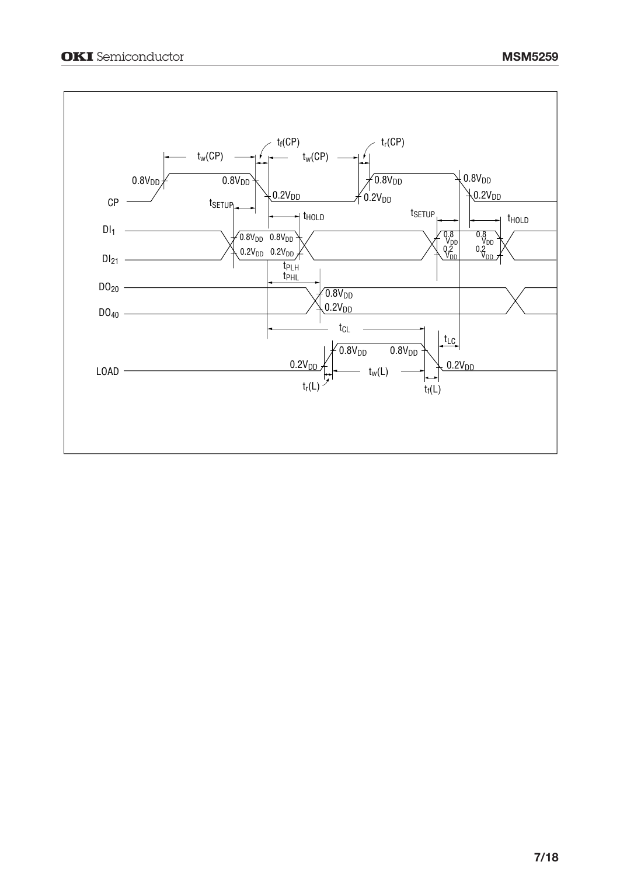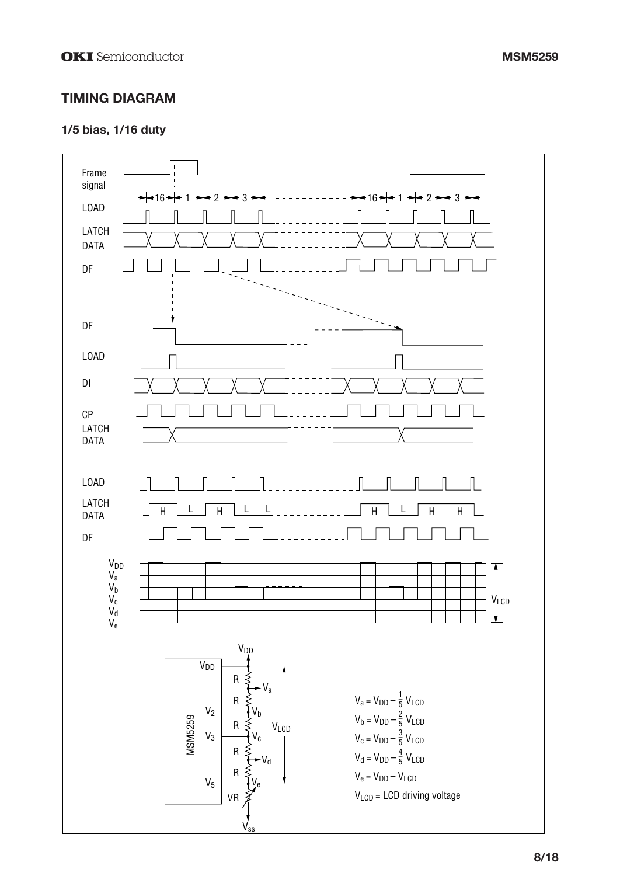#### **TIMING DIAGRAM**

#### **1/5 bias, 1/16 duty**

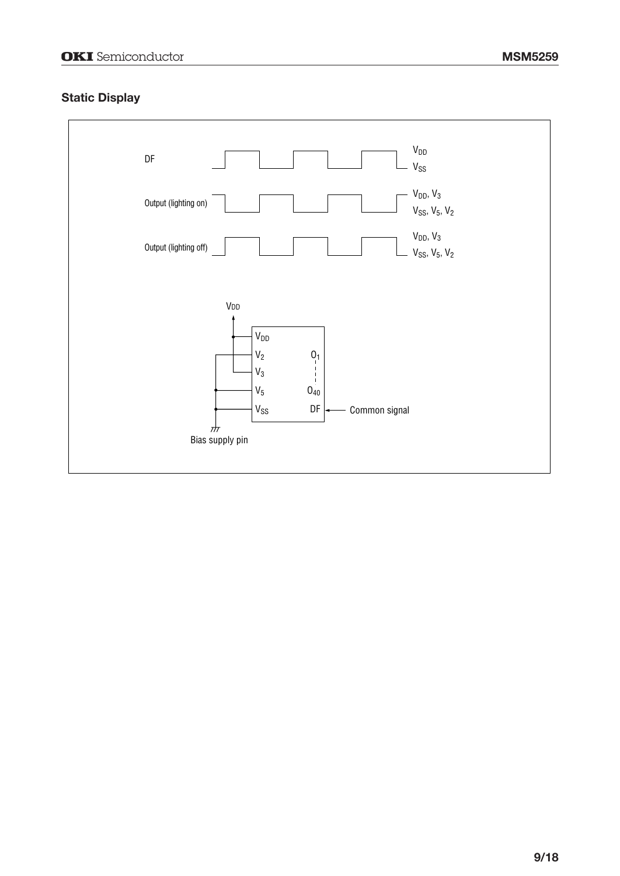#### **Static Display**

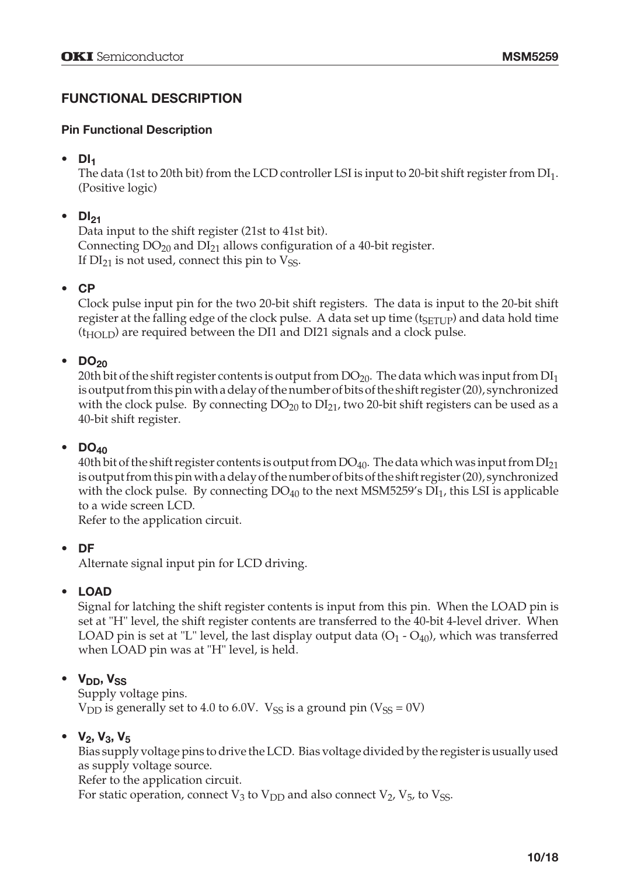#### **FUNCTIONAL DESCRIPTION**

#### **Pin Functional Description**

#### **• DI1**

The data (1st to 20th bit) from the LCD controller LSI is input to 20-bit shift register from  $DI_1$ . (Positive logic)

#### $\bullet$  DI<sub>21</sub>

Data input to the shift register (21st to 41st bit). Connecting  $DO<sub>20</sub>$  and  $DI<sub>21</sub>$  allows configuration of a 40-bit register. If  $DI_{21}$  is not used, connect this pin to  $V_{SS}$ .

#### **• CP**

Clock pulse input pin for the two 20-bit shift registers. The data is input to the 20-bit shift register at the falling edge of the clock pulse. A data set up time  $(t_{\text{SETUP}})$  and data hold time  $(t_{\text{HOL}})$  are required between the DI1 and DI21 signals and a clock pulse.

#### $\bullet$  DO<sub>20</sub>

20th bit of the shift register contents is output from  $DO_{20}$ . The data which was input from  $DI_1$ is output from this pin with a delay of the number of bits of the shift register (20), synchronized with the clock pulse. By connecting  $DO_{20}$  to  $DI_{21}$ , two 20-bit shift registers can be used as a 40-bit shift register.

#### **• DO40**

40th bit of the shift register contents is output from  $DO_{40}$ . The data which was input from  $DI_{21}$ is output from this pin with a delay of the number of bits of the shift register (20), synchronized with the clock pulse. By connecting  $DO_{40}$  to the next MSM5259's  $DI_1$ , this LSI is applicable to a wide screen LCD.

Refer to the application circuit.

#### **• DF**

Alternate signal input pin for LCD driving.

#### **• LOAD**

Signal for latching the shift register contents is input from this pin. When the LOAD pin is set at "H" level, the shift register contents are transferred to the 40-bit 4-level driver. When LOAD pin is set at "L" level, the last display output data  $(O_1 - O_{40})$ , which was transferred when LOAD pin was at "H" level, is held.

#### • V<sub>DD</sub>, V<sub>SS</sub>

Supply voltage pins.  $V<sub>DD</sub>$  is generally set to 4.0 to 6.0V.  $V<sub>SS</sub>$  is a ground pin ( $V<sub>SS</sub> = 0V$ )

#### •  $V_2$ ,  $V_3$ ,  $V_5$

Bias supply voltage pins to drive the LCD. Bias voltage divided by the register is usually used as supply voltage source.

Refer to the application circuit.

For static operation, connect  $V_3$  to  $V_{DD}$  and also connect  $V_2$ ,  $V_5$ , to  $V_{SS}$ .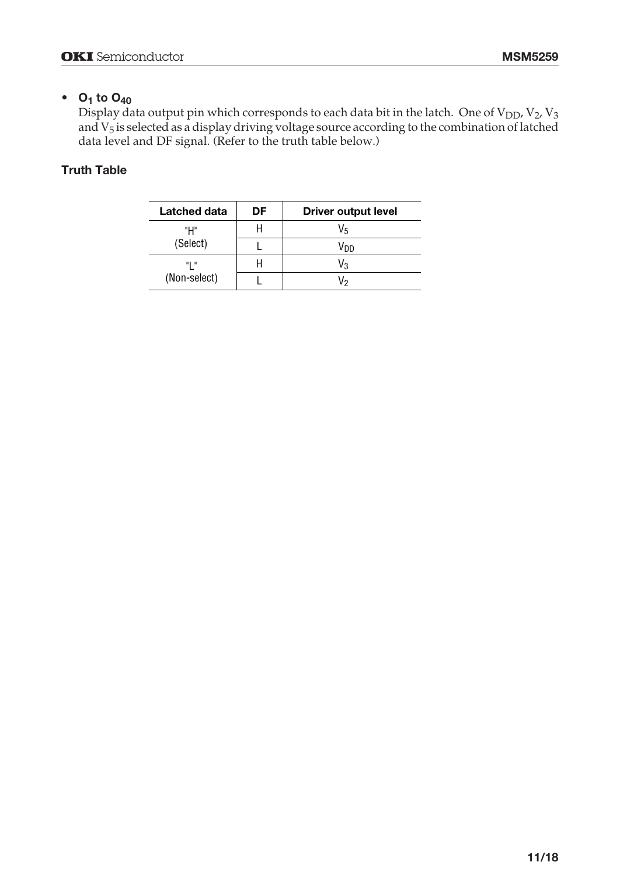#### •  $O_1$  to  $O_{40}$

Display data output pin which corresponds to each data bit in the latch. One of  $V_{DD}$ ,  $V_2$ ,  $V_3$ and V<sub>5</sub> is selected as a display driving voltage source according to the combination of latched data level and DF signal. (Refer to the truth table below.)

#### **Truth Table**

| Latched data | DF | <b>Driver output level</b> |
|--------------|----|----------------------------|
| "Н"          |    | V5                         |
| (Select)     |    | Vnn                        |
| "I "         |    | V٩                         |
| (Non-select) |    | V٥                         |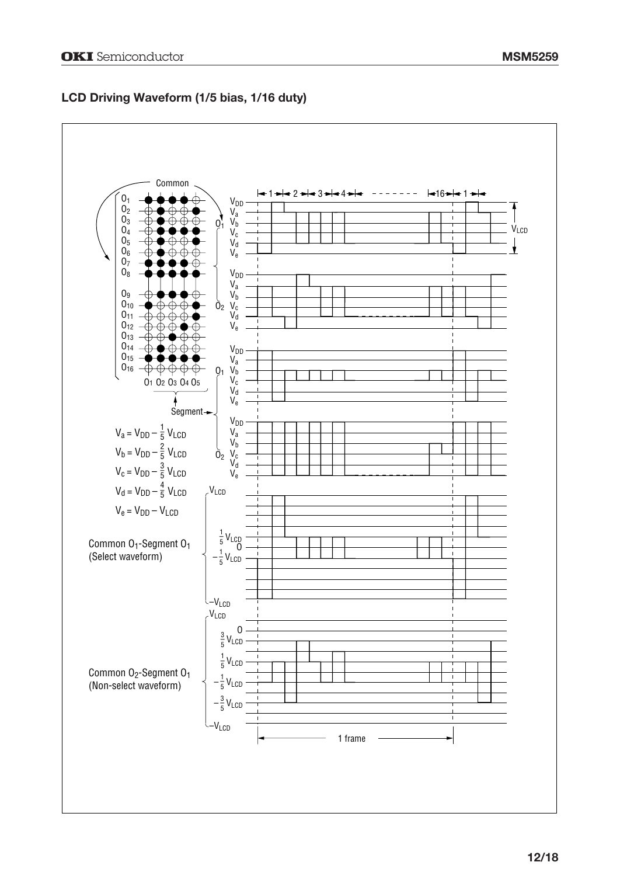#### **LCD Driving Waveform (1/5 bias, 1/16 duty)**

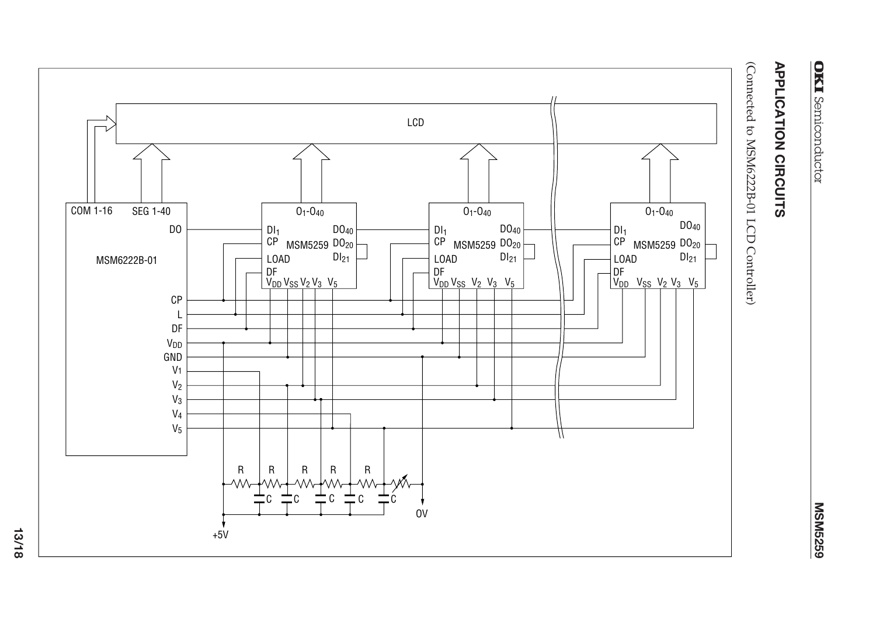# **MSM5259**

(Connected to MSM6222B-01 LCD Controller)



**13/18**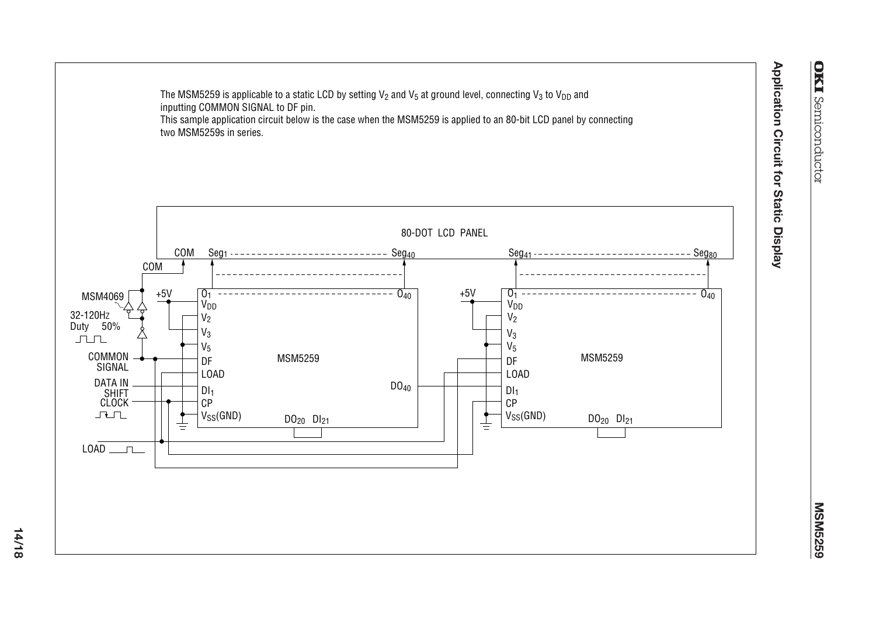

**14/18**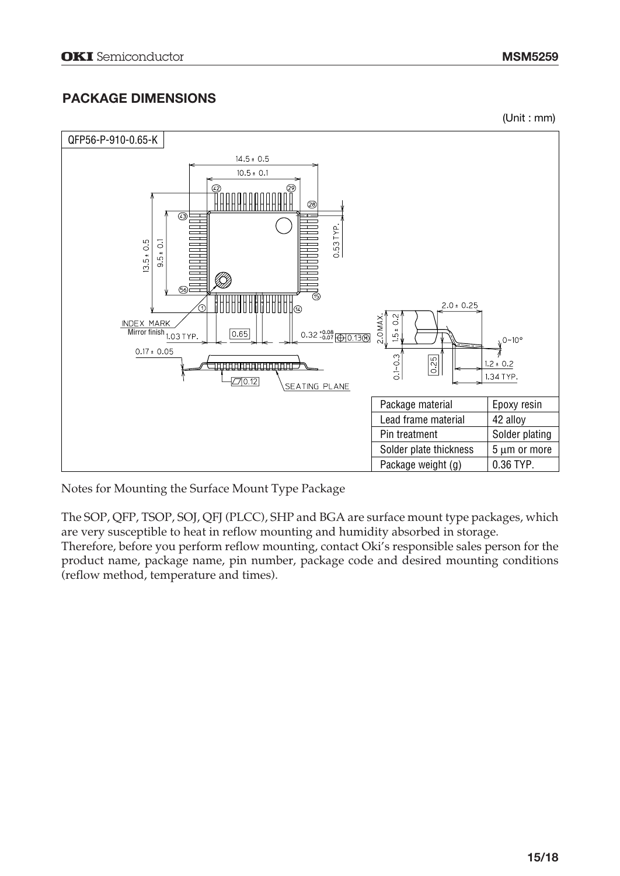#### **PACKAGE DIMENSIONS**

(Unit : mm)



Notes for Mounting the Surface Mount Type Package

The SOP, QFP, TSOP, SOJ, QFJ (PLCC), SHP and BGA are surface mount type packages, which are very susceptible to heat in reflow mounting and humidity absorbed in storage.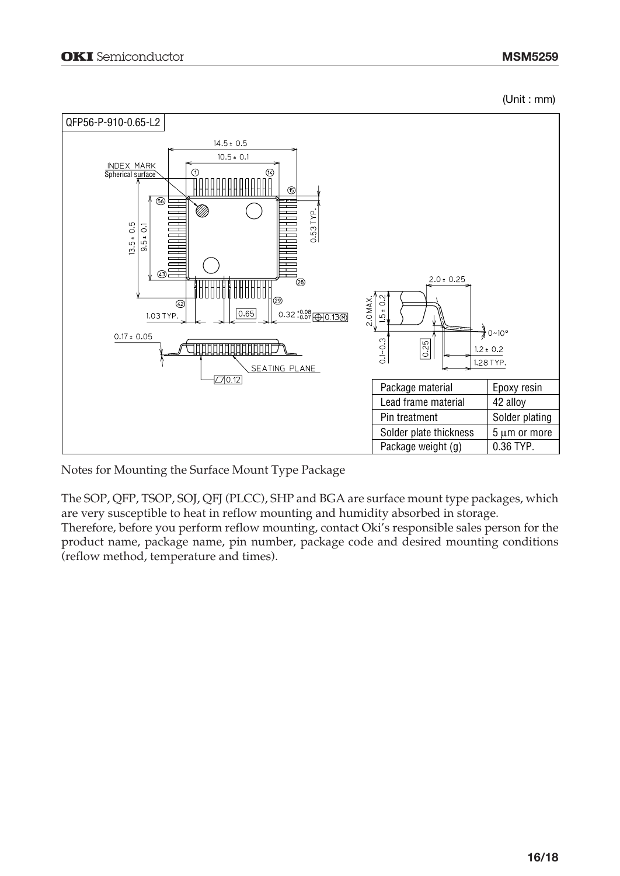(Unit : mm)



Notes for Mounting the Surface Mount Type Package

The SOP, QFP, TSOP, SOJ, QFJ (PLCC), SHP and BGA are surface mount type packages, which are very susceptible to heat in reflow mounting and humidity absorbed in storage.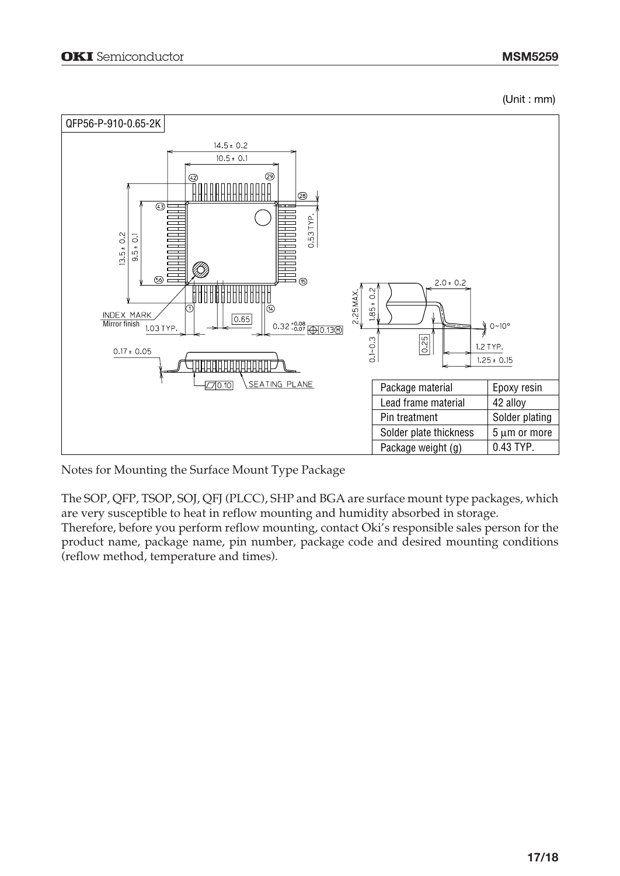(Unit : mm)



Notes for Mounting the Surface Mount Type Package

The SOP, QFP, TSOP, SOJ, QFJ (PLCC), SHP and BGA are surface mount type packages, which are very susceptible to heat in reflow mounting and humidity absorbed in storage.